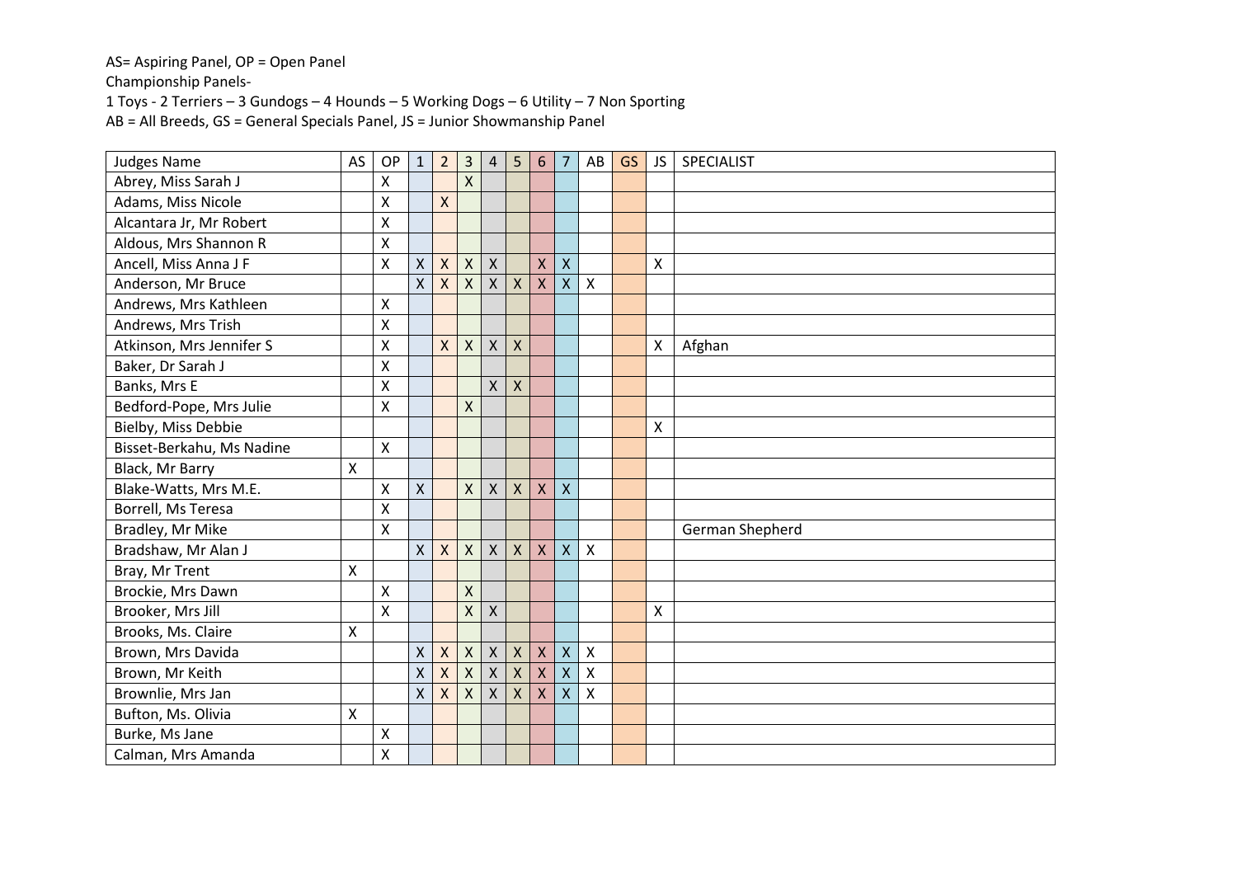Championship Panels-

1 Toys - 2 Terriers – 3 Gundogs – 4 Hounds – 5 Working Dogs – 6 Utility – 7 Non Sporting

| <b>Judges Name</b>        | AS                 | OP | 1              | $\overline{2}$   | 3                       | 4                         | 5                         | 6                       | $\overline{7}$     | AB                 | <b>GS</b> | <b>JS</b>                 | SPECIALIST      |
|---------------------------|--------------------|----|----------------|------------------|-------------------------|---------------------------|---------------------------|-------------------------|--------------------|--------------------|-----------|---------------------------|-----------------|
| Abrey, Miss Sarah J       |                    | X  |                |                  | $\overline{\mathsf{X}}$ |                           |                           |                         |                    |                    |           |                           |                 |
| Adams, Miss Nicole        |                    | X  |                | $\mathsf{\chi}$  |                         |                           |                           |                         |                    |                    |           |                           |                 |
| Alcantara Jr, Mr Robert   |                    | X  |                |                  |                         |                           |                           |                         |                    |                    |           |                           |                 |
| Aldous, Mrs Shannon R     |                    | X  |                |                  |                         |                           |                           |                         |                    |                    |           |                           |                 |
| Ancell, Miss Anna J F     |                    | X  | $\mathsf{X}$   | $\mathsf{x}$     | $\mathsf{X}$            | $\boldsymbol{\mathsf{X}}$ |                           | $\mathsf{X}$            | $\mathsf{x}$       |                    |           | $\boldsymbol{\mathsf{X}}$ |                 |
| Anderson, Mr Bruce        |                    |    | $\mathsf{X}$   | $\mathsf{X}$     | X                       | $\mathsf{X}$              | $\mathsf{X}$              | $\overline{\mathsf{X}}$ | $\mathsf{\chi}$    | $\pmb{\times}$     |           |                           |                 |
| Andrews, Mrs Kathleen     |                    | Χ  |                |                  |                         |                           |                           |                         |                    |                    |           |                           |                 |
| Andrews, Mrs Trish        |                    | X  |                |                  |                         |                           |                           |                         |                    |                    |           |                           |                 |
| Atkinson, Mrs Jennifer S  |                    | X  |                | $\mathsf{X}$     | $\mathsf{X}$            | $\mathsf{X}$              | $\boldsymbol{\mathsf{X}}$ |                         |                    |                    |           | $\mathsf{X}$              | Afghan          |
| Baker, Dr Sarah J         |                    | X  |                |                  |                         |                           |                           |                         |                    |                    |           |                           |                 |
| Banks, Mrs E              |                    | X  |                |                  |                         | X                         | $\mathsf{X}$              |                         |                    |                    |           |                           |                 |
| Bedford-Pope, Mrs Julie   |                    | X  |                |                  | X                       |                           |                           |                         |                    |                    |           |                           |                 |
| Bielby, Miss Debbie       |                    |    |                |                  |                         |                           |                           |                         |                    |                    |           | $\boldsymbol{\mathsf{X}}$ |                 |
| Bisset-Berkahu, Ms Nadine |                    | Χ  |                |                  |                         |                           |                           |                         |                    |                    |           |                           |                 |
| Black, Mr Barry           | X                  |    |                |                  |                         |                           |                           |                         |                    |                    |           |                           |                 |
| Blake-Watts, Mrs M.E.     |                    | X  | $\mathsf{X}$   |                  | X                       | $\mathsf{X}$              | $\pmb{\mathsf{X}}$        | $\mathsf{X}$            | $\mathsf{x}$       |                    |           |                           |                 |
| Borrell, Ms Teresa        |                    | X  |                |                  |                         |                           |                           |                         |                    |                    |           |                           |                 |
| Bradley, Mr Mike          |                    | Χ  |                |                  |                         |                           |                           |                         |                    |                    |           |                           | German Shepherd |
| Bradshaw, Mr Alan J       |                    |    | x <sub>1</sub> | $\mathsf{X}$     | $\mathsf{X}$            | $\pmb{\mathsf{X}}$        | $\pmb{\mathsf{X}}$        | $\pmb{\mathsf{X}}$      | $\pmb{\mathsf{X}}$ | $\pmb{\mathsf{X}}$ |           |                           |                 |
| Bray, Mr Trent            | X                  |    |                |                  |                         |                           |                           |                         |                    |                    |           |                           |                 |
| Brockie, Mrs Dawn         |                    | X  |                |                  | $\mathsf{X}$            |                           |                           |                         |                    |                    |           |                           |                 |
| Brooker, Mrs Jill         |                    | X  |                |                  | $\mathsf{X}$            | $\mathsf{X}$              |                           |                         |                    |                    |           | $\boldsymbol{\mathsf{X}}$ |                 |
| Brooks, Ms. Claire        | $\pmb{\mathsf{X}}$ |    |                |                  |                         |                           |                           |                         |                    |                    |           |                           |                 |
| Brown, Mrs Davida         |                    |    | $\mathsf{X}^-$ | $\boldsymbol{X}$ | $\mathsf{X}$            | $\pmb{\mathsf{X}}$        | $\boldsymbol{\mathsf{X}}$ | $\pmb{\mathsf{X}}$      | $\pmb{\mathsf{X}}$ | $\pmb{\mathsf{X}}$ |           |                           |                 |
| Brown, Mr Keith           |                    |    | $\mathsf{X}$   | $\mathsf{X}$     | $\mathsf{x}$            | $\boldsymbol{\mathsf{X}}$ | $\boldsymbol{\mathsf{X}}$ | $\mathsf{X}$            | $\mathsf{X}$       | $\pmb{\mathsf{X}}$ |           |                           |                 |
| Brownlie, Mrs Jan         |                    |    | $\mathsf{X}$   | $\mathsf{X}$     | $\mathsf{X}$            | $\mathsf{\chi}$           | $\mathsf{X}$              | $\mathsf{\chi}$         | X                  | X                  |           |                           |                 |
| Bufton, Ms. Olivia        | X                  |    |                |                  |                         |                           |                           |                         |                    |                    |           |                           |                 |
| Burke, Ms Jane            |                    | Χ  |                |                  |                         |                           |                           |                         |                    |                    |           |                           |                 |
| Calman, Mrs Amanda        |                    | X  |                |                  |                         |                           |                           |                         |                    |                    |           |                           |                 |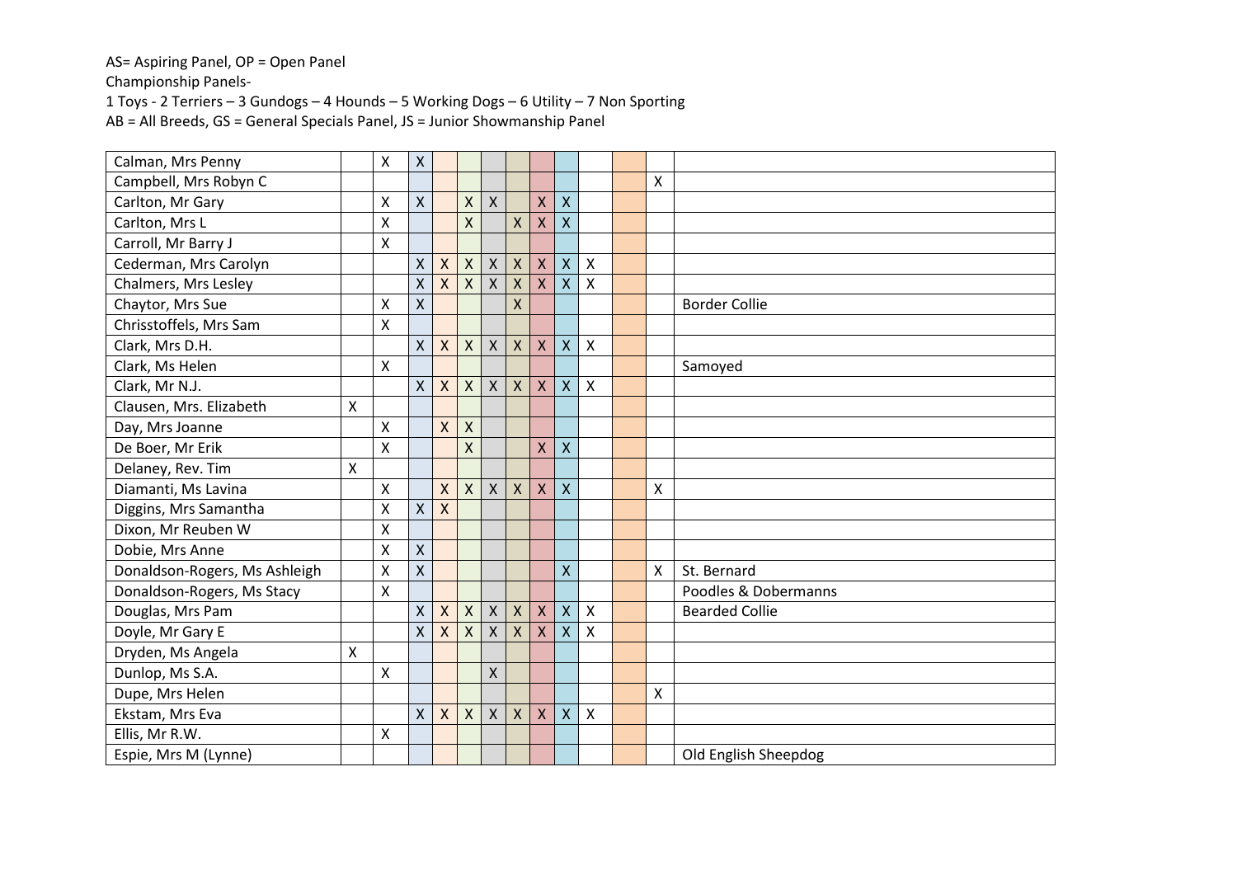Championship Panels-

1 Toys - 2 Terriers – 3 Gundogs – 4 Hounds – 5 Working Dogs – 6 Utility – 7 Non Sporting

| Calman, Mrs Penny             |   | Χ | X              |                    |                           |                    |                           |                    |                         |                           |                           |                       |
|-------------------------------|---|---|----------------|--------------------|---------------------------|--------------------|---------------------------|--------------------|-------------------------|---------------------------|---------------------------|-----------------------|
| Campbell, Mrs Robyn C         |   |   |                |                    |                           |                    |                           |                    |                         |                           | X                         |                       |
| Carlton, Mr Gary              |   | Χ | X              |                    | $\pmb{\mathsf{X}}$        | $\mathsf{X}$       |                           | $\mathsf{X}$       | $\pmb{\mathsf{X}}$      |                           |                           |                       |
| Carlton, Mrs L                |   | X |                |                    | $\mathsf{X}$              |                    | $\mathsf{X}$              | $\mathsf{X}$       | $\overline{\mathsf{X}}$ |                           |                           |                       |
| Carroll, Mr Barry J           |   | X |                |                    |                           |                    |                           |                    |                         |                           |                           |                       |
| Cederman, Mrs Carolyn         |   |   | X              | $\mathsf{X}$       | $\boldsymbol{\mathsf{X}}$ | $\pmb{\mathsf{X}}$ | $\boldsymbol{\mathsf{X}}$ | $\pmb{\mathsf{X}}$ | $\pmb{\mathsf{X}}$      | $\boldsymbol{\mathsf{X}}$ |                           |                       |
| Chalmers, Mrs Lesley          |   |   | X              | $\mathsf{X}$       | $\mathsf{x}$              | $\mathsf{X}$       | $\mathsf{X}$              | $\mathsf{X}$       | $\pmb{\mathsf{X}}$      | $\boldsymbol{\mathsf{X}}$ |                           |                       |
| Chaytor, Mrs Sue              |   | X | $\mathsf{X}$   |                    |                           |                    | $\mathsf{X}$              |                    |                         |                           |                           | <b>Border Collie</b>  |
| Chrisstoffels, Mrs Sam        |   | X |                |                    |                           |                    |                           |                    |                         |                           |                           |                       |
| Clark, Mrs D.H.               |   |   | x              | $\mathsf{X}$       | $\pmb{\times}$            | $\mathsf{X}$       | $\boldsymbol{\mathsf{X}}$ | $\pmb{\mathsf{X}}$ | $\pmb{\mathsf{X}}$      | $\boldsymbol{\mathsf{X}}$ |                           |                       |
| Clark, Ms Helen               |   | X |                |                    |                           |                    |                           |                    |                         |                           |                           | Samoyed               |
| Clark, Mr N.J.                |   |   | x              | $\mathsf{X}$       | $\mathsf{X}$              | $\mathsf{X}$       | $\boldsymbol{\mathsf{X}}$ | $\mathsf{X}$       | $\mathsf{X}$            | $\boldsymbol{\mathsf{X}}$ |                           |                       |
| Clausen, Mrs. Elizabeth       | X |   |                |                    |                           |                    |                           |                    |                         |                           |                           |                       |
| Day, Mrs Joanne               |   | X |                | $\mathsf{X}$       | $\mathsf{X}$              |                    |                           |                    |                         |                           |                           |                       |
| De Boer, Mr Erik              |   | Χ |                |                    | $\pmb{\mathsf{X}}$        |                    |                           | $\mathsf{X}$       | $\mathsf{X}$            |                           |                           |                       |
| Delaney, Rev. Tim             | X |   |                |                    |                           |                    |                           |                    |                         |                           |                           |                       |
| Diamanti, Ms Lavina           |   | X |                | $\mathsf{X}$       | $\mathsf{X}$              | $\mathsf{X}$       | $\mathsf{X}$              | $\mathsf{\chi}$    | $\overline{\mathsf{X}}$ |                           | X                         |                       |
| Diggins, Mrs Samantha         |   | X | X              | $\mathsf{X}$       |                           |                    |                           |                    |                         |                           |                           |                       |
| Dixon, Mr Reuben W            |   | X |                |                    |                           |                    |                           |                    |                         |                           |                           |                       |
| Dobie, Mrs Anne               |   | X | X              |                    |                           |                    |                           |                    |                         |                           |                           |                       |
| Donaldson-Rogers, Ms Ashleigh |   | X | X              |                    |                           |                    |                           |                    | $\mathsf{\overline{X}}$ |                           | X                         | St. Bernard           |
| Donaldson-Rogers, Ms Stacy    |   | X |                |                    |                           |                    |                           |                    |                         |                           |                           | Poodles & Dobermanns  |
| Douglas, Mrs Pam              |   |   | $\mathsf{X}^-$ | $\pmb{\mathsf{X}}$ | $\pmb{\mathsf{X}}$        | $\pmb{\mathsf{X}}$ | $\pmb{\mathsf{X}}$        | $\pmb{\mathsf{X}}$ | $\pmb{\mathsf{X}}$      | $\pmb{\mathsf{X}}$        |                           | <b>Bearded Collie</b> |
| Doyle, Mr Gary E              |   |   | $\mathsf{X}$   | $\mathsf{X}$       | $\mathsf{X}$              | X                  | $\boldsymbol{\mathsf{X}}$ | $\mathsf{X}$       | $\mathsf{X}$            | $\mathsf{X}$              |                           |                       |
| Dryden, Ms Angela             | X |   |                |                    |                           |                    |                           |                    |                         |                           |                           |                       |
| Dunlop, Ms S.A.               |   | Χ |                |                    |                           | X                  |                           |                    |                         |                           |                           |                       |
| Dupe, Mrs Helen               |   |   |                |                    |                           |                    |                           |                    |                         |                           | $\boldsymbol{\mathsf{X}}$ |                       |
| Ekstam, Mrs Eva               |   |   | $\mathsf{X}$   | $\mathsf{x}$       | $\pmb{\mathsf{X}}$        | $\mathsf{X}$       | $\boldsymbol{\mathsf{X}}$ | $\mathsf{X}$       | $\mathsf{X}$            | $\pmb{\times}$            |                           |                       |
| Ellis, Mr R.W.                |   | X |                |                    |                           |                    |                           |                    |                         |                           |                           |                       |
| Espie, Mrs M (Lynne)          |   |   |                |                    |                           |                    |                           |                    |                         |                           |                           | Old English Sheepdog  |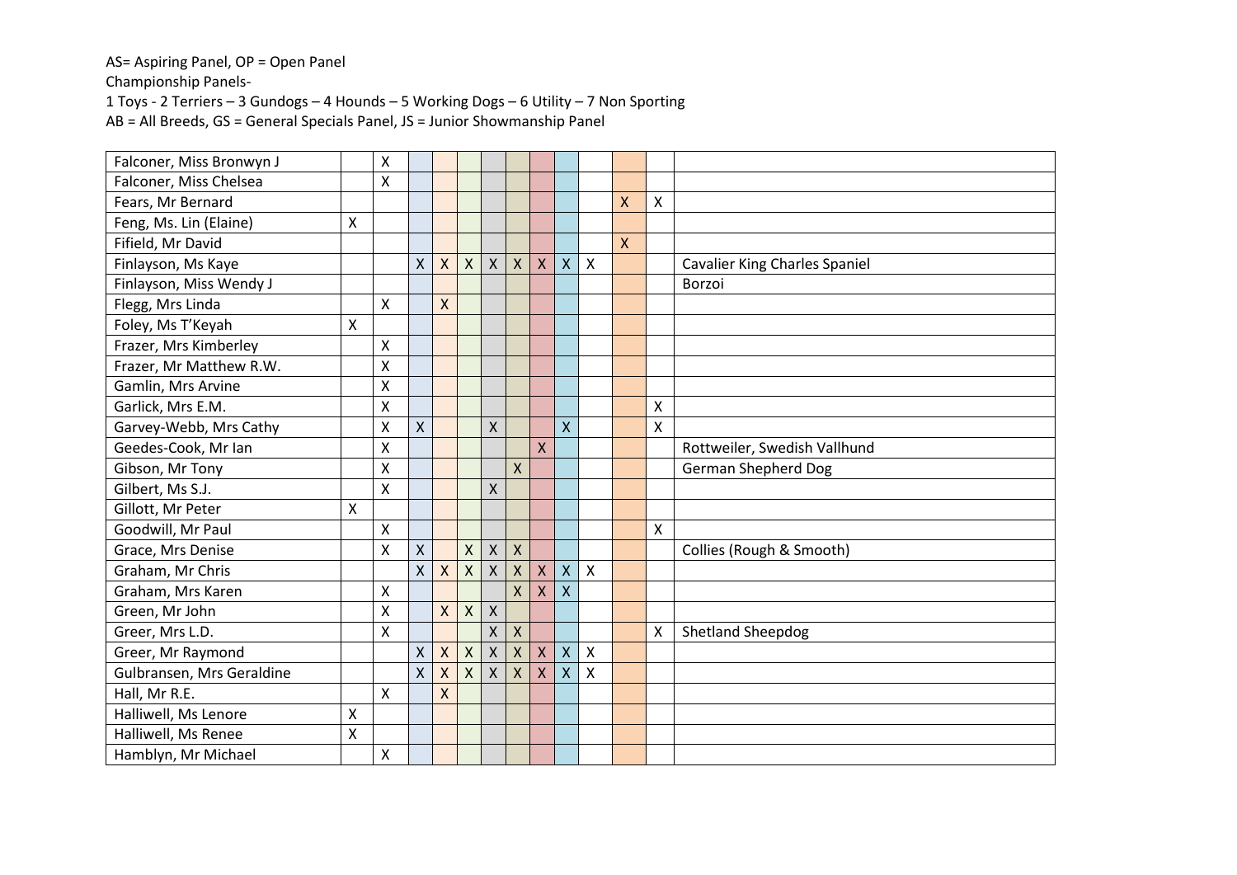Championship Panels-

1 Toys - 2 Terriers – 3 Gundogs – 4 Hounds – 5 Working Dogs – 6 Utility – 7 Non Sporting

| Falconer, Miss Bronwyn J  |   | X                     |              |                           |                |                    |                           |                    |                           |                           |              |   |                                      |
|---------------------------|---|-----------------------|--------------|---------------------------|----------------|--------------------|---------------------------|--------------------|---------------------------|---------------------------|--------------|---|--------------------------------------|
| Falconer, Miss Chelsea    |   | Χ                     |              |                           |                |                    |                           |                    |                           |                           |              |   |                                      |
| Fears, Mr Bernard         |   |                       |              |                           |                |                    |                           |                    |                           |                           | $\mathsf{X}$ | X |                                      |
| Feng, Ms. Lin (Elaine)    | Χ |                       |              |                           |                |                    |                           |                    |                           |                           |              |   |                                      |
| Fifield, Mr David         |   |                       |              |                           |                |                    |                           |                    |                           |                           | $\mathsf{X}$ |   |                                      |
| Finlayson, Ms Kaye        |   |                       | X            | $\boldsymbol{\mathsf{X}}$ | $\pmb{\times}$ | $\mathsf{X}$       | $\mathsf{X}$              | $\pmb{\mathsf{X}}$ | $\mathsf{X}$              | $\mathsf{X}$              |              |   | <b>Cavalier King Charles Spaniel</b> |
| Finlayson, Miss Wendy J   |   |                       |              |                           |                |                    |                           |                    |                           |                           |              |   | Borzoi                               |
| Flegg, Mrs Linda          |   | Χ                     |              | X                         |                |                    |                           |                    |                           |                           |              |   |                                      |
| Foley, Ms T'Keyah         | X |                       |              |                           |                |                    |                           |                    |                           |                           |              |   |                                      |
| Frazer, Mrs Kimberley     |   | Χ                     |              |                           |                |                    |                           |                    |                           |                           |              |   |                                      |
| Frazer, Mr Matthew R.W.   |   | X                     |              |                           |                |                    |                           |                    |                           |                           |              |   |                                      |
| Gamlin, Mrs Arvine        |   | $\mathsf{\mathsf{X}}$ |              |                           |                |                    |                           |                    |                           |                           |              |   |                                      |
| Garlick, Mrs E.M.         |   | X                     |              |                           |                |                    |                           |                    |                           |                           |              | Χ |                                      |
| Garvey-Webb, Mrs Cathy    |   | X                     | X            |                           |                | X                  |                           |                    | $\overline{X}$            |                           |              | X |                                      |
| Geedes-Cook, Mr Ian       |   | X                     |              |                           |                |                    |                           | $\mathsf{X}$       |                           |                           |              |   | Rottweiler, Swedish Vallhund         |
| Gibson, Mr Tony           |   | X                     |              |                           |                |                    | $\mathsf{X}$              |                    |                           |                           |              |   | <b>German Shepherd Dog</b>           |
| Gilbert, Ms S.J.          |   | X                     |              |                           |                | X                  |                           |                    |                           |                           |              |   |                                      |
| Gillott, Mr Peter         | X |                       |              |                           |                |                    |                           |                    |                           |                           |              |   |                                      |
| Goodwill, Mr Paul         |   | Χ                     |              |                           |                |                    |                           |                    |                           |                           |              | X |                                      |
| Grace, Mrs Denise         |   | Χ                     | $\mathsf{X}$ |                           | $\mathsf{X}$   | $\pmb{\times}$     | $\mathsf{X}$              |                    |                           |                           |              |   | Collies (Rough & Smooth)             |
| Graham, Mr Chris          |   |                       | X            | $\mathsf{X}$              | $\mathsf{X}$   | $\sf X$            | $\boldsymbol{\mathsf{X}}$ | $\pmb{\mathsf{X}}$ | $\mathsf{\chi}$           | $\mathsf{X}$              |              |   |                                      |
| Graham, Mrs Karen         |   | X                     |              |                           |                |                    | $\mathsf{\chi}$           | $\mathsf{X}$       | $\mathsf{\chi}$           |                           |              |   |                                      |
| Green, Mr John            |   | X                     |              | X                         | $\mathsf{X}$   | $\pmb{\mathsf{X}}$ |                           |                    |                           |                           |              |   |                                      |
| Greer, Mrs L.D.           |   | X                     |              |                           |                | X                  | $\boldsymbol{\mathsf{X}}$ |                    |                           |                           |              | X | Shetland Sheepdog                    |
| Greer, Mr Raymond         |   |                       | X            | $\pmb{\mathsf{X}}$        | $\mathsf{X}$   | $\pmb{\mathsf{X}}$ | $\mathsf{X}$              | $\pmb{\mathsf{X}}$ | $\mathsf{\chi}$           | $\mathsf{\chi}$           |              |   |                                      |
| Gulbransen, Mrs Geraldine |   |                       | $\mathsf{X}$ | $\mathsf{X}$              | $\mathsf{X}$   | $\pmb{\times}$     | $\pmb{\mathsf{X}}$        | $\pmb{\mathsf{X}}$ | $\boldsymbol{\mathsf{X}}$ | $\boldsymbol{\mathsf{X}}$ |              |   |                                      |
| Hall, Mr R.E.             |   | X                     |              | X                         |                |                    |                           |                    |                           |                           |              |   |                                      |
| Halliwell, Ms Lenore      | X |                       |              |                           |                |                    |                           |                    |                           |                           |              |   |                                      |
| Halliwell, Ms Renee       | X |                       |              |                           |                |                    |                           |                    |                           |                           |              |   |                                      |
| Hamblyn, Mr Michael       |   | X                     |              |                           |                |                    |                           |                    |                           |                           |              |   |                                      |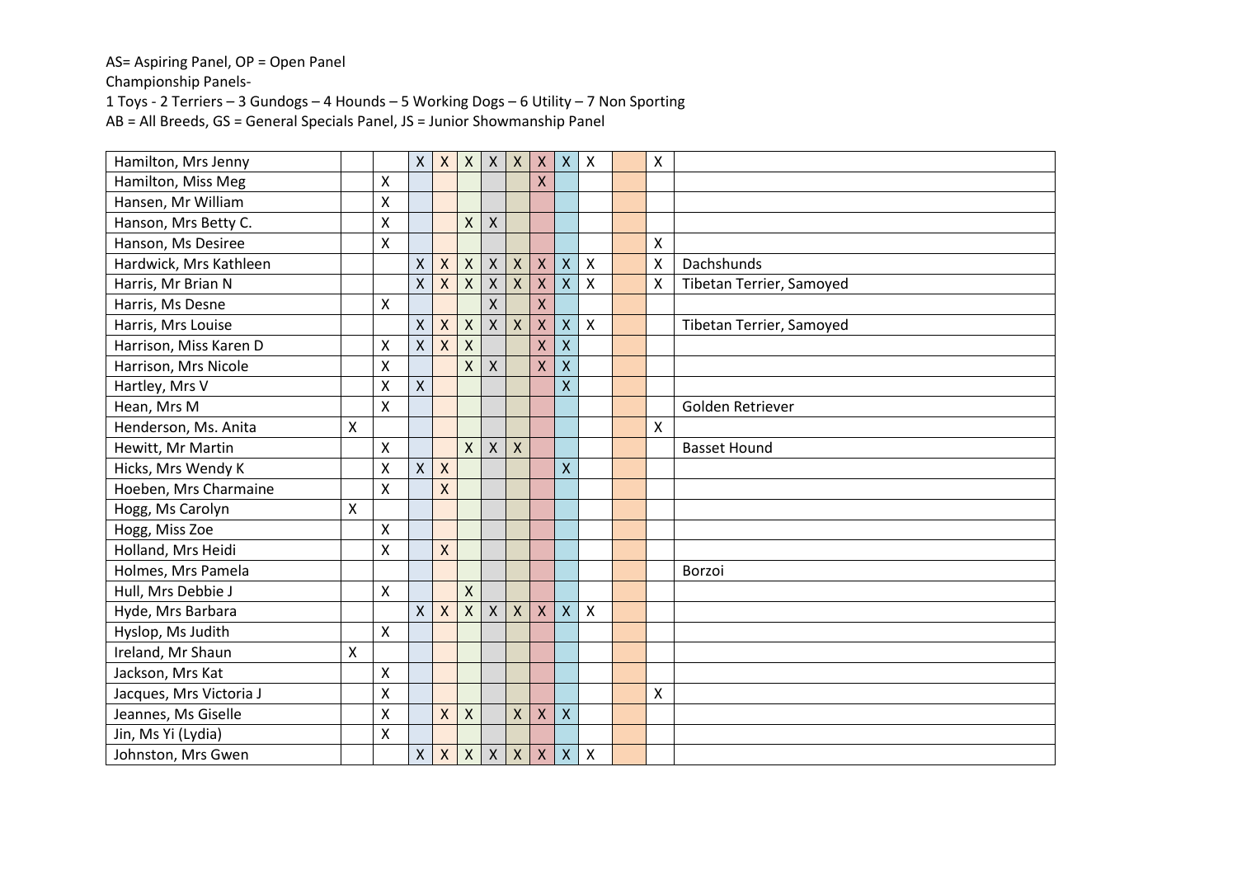Championship Panels-

1 Toys - 2 Terriers – 3 Gundogs – 4 Hounds – 5 Working Dogs – 6 Utility – 7 Non Sporting AB = All Breeds, GS = General Specials Panel, JS = Junior Showmanship Panel

| Hamilton, Mrs Jenny     |   |                    | X                         | $\mathsf X$               | $\boldsymbol{\mathsf{X}}$ | $\boldsymbol{\mathsf{X}}$ | $\mathsf{X}$       | $\mathsf{X}$              | $\mathsf{X}$            | X                  | $\boldsymbol{\mathsf{X}}$ |                          |
|-------------------------|---|--------------------|---------------------------|---------------------------|---------------------------|---------------------------|--------------------|---------------------------|-------------------------|--------------------|---------------------------|--------------------------|
| Hamilton, Miss Meg      |   | Χ                  |                           |                           |                           |                           |                    | X                         |                         |                    |                           |                          |
| Hansen, Mr William      |   | Χ                  |                           |                           |                           |                           |                    |                           |                         |                    |                           |                          |
| Hanson, Mrs Betty C.    |   | X                  |                           |                           | $\mathsf{X}$              | $\mathsf{X}$              |                    |                           |                         |                    |                           |                          |
| Hanson, Ms Desiree      |   | X                  |                           |                           |                           |                           |                    |                           |                         |                    | $\mathsf{X}$              |                          |
| Hardwick, Mrs Kathleen  |   |                    | $\mathsf{x}$              | $\pmb{\mathsf{X}}$        | $\pmb{\mathsf{X}}$        | $\mathsf{X}$              | $\pmb{\mathsf{X}}$ | X                         | $\mathsf{X}$            | X                  | X                         | Dachshunds               |
| Harris, Mr Brian N      |   |                    | $\mathsf{X}$              | $\pmb{\mathsf{X}}$        | $\pmb{\mathsf{X}}$        | $\mathsf{X}$              | $\pmb{\mathsf{X}}$ | $\boldsymbol{\mathsf{X}}$ | $\mathsf{X}$            | $\pmb{\mathsf{X}}$ | X                         | Tibetan Terrier, Samoyed |
| Harris, Ms Desne        |   | $\pmb{\mathsf{X}}$ |                           |                           |                           | $\mathsf{\chi}$           |                    | $\mathsf{\chi}$           |                         |                    |                           |                          |
| Harris, Mrs Louise      |   |                    | $\pmb{\mathsf{X}}$        | $\boldsymbol{\mathsf{X}}$ | $\pmb{\mathsf{X}}$        | $\boldsymbol{\mathsf{X}}$ | $\pmb{\mathsf{X}}$ | X                         | $\pmb{\mathsf{X}}$      | Χ                  |                           | Tibetan Terrier, Samoyed |
| Harrison, Miss Karen D  |   | X                  | $\mathsf{X}$              | $\mathsf{X}$              | $\mathsf{X}$              |                           |                    | $\mathsf{\chi}$           | $\overline{\mathsf{X}}$ |                    |                           |                          |
| Harrison, Mrs Nicole    |   | $\pmb{\mathsf{X}}$ |                           |                           | X                         | $\mathsf{X}$              |                    | X                         | $\mathsf{X}$            |                    |                           |                          |
| Hartley, Mrs V          |   | $\mathsf{X}$       | $\boldsymbol{\mathsf{X}}$ |                           |                           |                           |                    |                           | $\mathsf{X}$            |                    |                           |                          |
| Hean, Mrs M             |   | $\pmb{\mathsf{X}}$ |                           |                           |                           |                           |                    |                           |                         |                    |                           | Golden Retriever         |
| Henderson, Ms. Anita    | X |                    |                           |                           |                           |                           |                    |                           |                         |                    | $\mathsf{X}$              |                          |
| Hewitt, Mr Martin       |   | $\pmb{\mathsf{X}}$ |                           |                           | X                         | $\mathsf{X}$              | $\mathsf{X}$       |                           |                         |                    |                           | <b>Basset Hound</b>      |
| Hicks, Mrs Wendy K      |   | $\mathsf{\chi}$    | $\mathsf{X}$              | $\pmb{\mathsf{X}}$        |                           |                           |                    |                           | $\mathsf{X}$            |                    |                           |                          |
| Hoeben, Mrs Charmaine   |   | $\mathsf{X}$       |                           | $\mathsf{X}$              |                           |                           |                    |                           |                         |                    |                           |                          |
| Hogg, Ms Carolyn        | X |                    |                           |                           |                           |                           |                    |                           |                         |                    |                           |                          |
| Hogg, Miss Zoe          |   | Χ                  |                           |                           |                           |                           |                    |                           |                         |                    |                           |                          |
| Holland, Mrs Heidi      |   | X                  |                           | $\pmb{\mathsf{X}}$        |                           |                           |                    |                           |                         |                    |                           |                          |
| Holmes, Mrs Pamela      |   |                    |                           |                           |                           |                           |                    |                           |                         |                    |                           | Borzoi                   |
| Hull, Mrs Debbie J      |   | Χ                  |                           |                           | X                         |                           |                    |                           |                         |                    |                           |                          |
| Hyde, Mrs Barbara       |   |                    | $\mathsf{X}$              | $\boldsymbol{X}$          | X                         | $\pmb{\mathsf{X}}$        | $\pmb{\mathsf{X}}$ | X                         | $\pmb{\mathsf{X}}$      | Χ                  |                           |                          |
| Hyslop, Ms Judith       |   | $\pmb{\mathsf{X}}$ |                           |                           |                           |                           |                    |                           |                         |                    |                           |                          |
| Ireland, Mr Shaun       | Χ |                    |                           |                           |                           |                           |                    |                           |                         |                    |                           |                          |
| Jackson, Mrs Kat        |   | Χ                  |                           |                           |                           |                           |                    |                           |                         |                    |                           |                          |
| Jacques, Mrs Victoria J |   | $\pmb{\mathsf{X}}$ |                           |                           |                           |                           |                    |                           |                         |                    | Χ                         |                          |
| Jeannes, Ms Giselle     |   | Χ                  |                           | $\mathsf{X}$              | Χ                         |                           | Χ                  | X                         | $\mathsf{\chi}$         |                    |                           |                          |
| Jin, Ms Yi (Lydia)      |   | Χ                  |                           |                           |                           |                           |                    |                           |                         |                    |                           |                          |
| Johnston, Mrs Gwen      |   |                    | X                         | $\mathsf X$               | Χ                         | $\boldsymbol{\mathsf{X}}$ | $\pmb{\mathsf{X}}$ | $\pmb{\mathsf{X}}$        | $\pmb{\mathsf{X}}$      | X                  |                           |                          |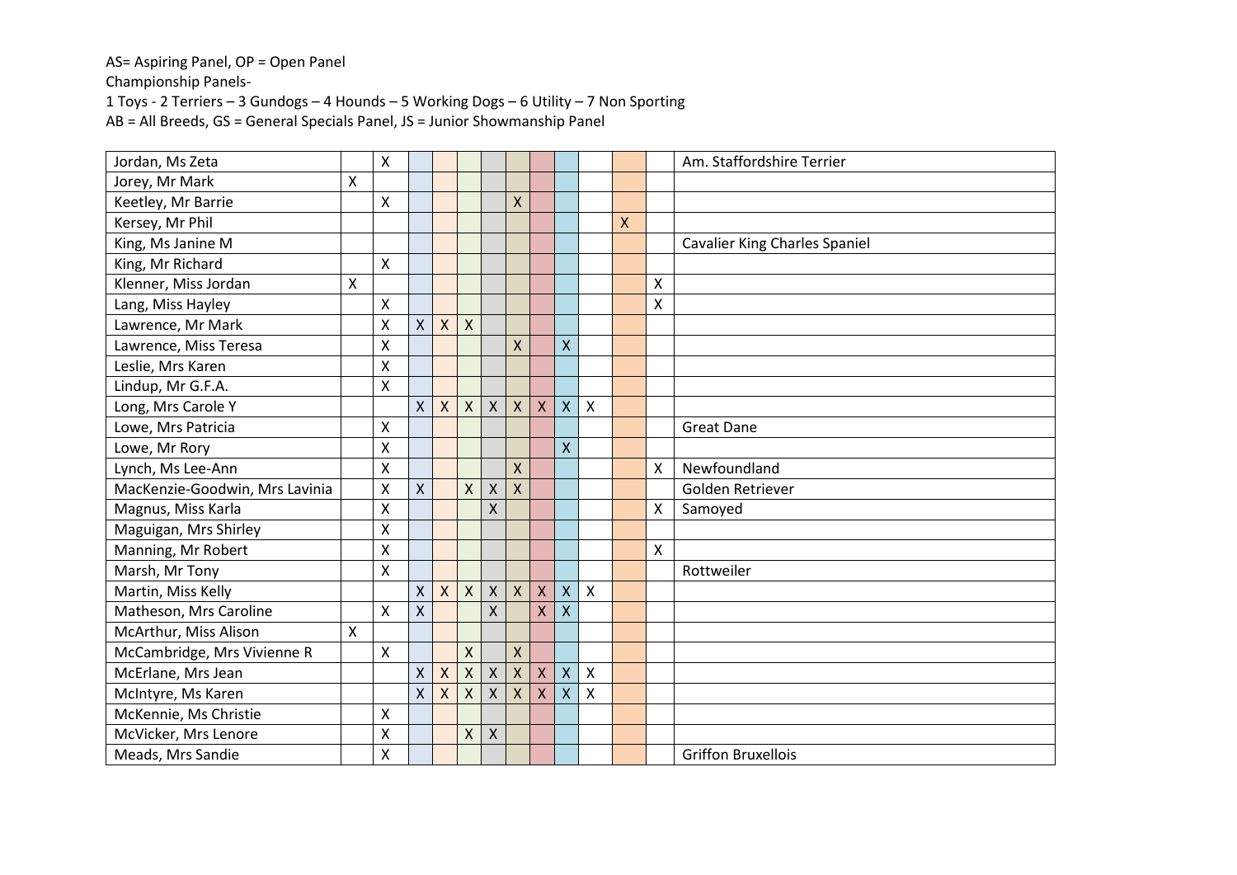Championship Panels-

1 Toys - 2 Terriers – 3 Gundogs – 4 Hounds – 5 Working Dogs – 6 Utility – 7 Non Sporting

| Jordan, Ms Zeta                |   | Χ |                |                           |                    |                         |                           |                         |                       |                           |   |                    | Am. Staffordshire Terrier            |
|--------------------------------|---|---|----------------|---------------------------|--------------------|-------------------------|---------------------------|-------------------------|-----------------------|---------------------------|---|--------------------|--------------------------------------|
| Jorey, Mr Mark                 | X |   |                |                           |                    |                         |                           |                         |                       |                           |   |                    |                                      |
| Keetley, Mr Barrie             |   | Χ |                |                           |                    |                         | X                         |                         |                       |                           |   |                    |                                      |
| Kersey, Mr Phil                |   |   |                |                           |                    |                         |                           |                         |                       |                           | X |                    |                                      |
| King, Ms Janine M              |   |   |                |                           |                    |                         |                           |                         |                       |                           |   |                    | <b>Cavalier King Charles Spaniel</b> |
| King, Mr Richard               |   | X |                |                           |                    |                         |                           |                         |                       |                           |   |                    |                                      |
| Klenner, Miss Jordan           | X |   |                |                           |                    |                         |                           |                         |                       |                           |   | $\pmb{\mathsf{X}}$ |                                      |
| Lang, Miss Hayley              |   | X |                |                           |                    |                         |                           |                         |                       |                           |   | $\mathsf{\chi}$    |                                      |
| Lawrence, Mr Mark              |   | X | $\mathsf{X}^-$ | $\boldsymbol{\mathsf{X}}$ | $\mathsf{X}$       |                         |                           |                         |                       |                           |   |                    |                                      |
| Lawrence, Miss Teresa          |   | X |                |                           |                    |                         | $\mathsf{X}$              |                         | $\mathsf{X}$          |                           |   |                    |                                      |
| Leslie, Mrs Karen              |   | Χ |                |                           |                    |                         |                           |                         |                       |                           |   |                    |                                      |
| Lindup, Mr G.F.A.              |   | X |                |                           |                    |                         |                           |                         |                       |                           |   |                    |                                      |
| Long, Mrs Carole Y             |   |   | $\mathsf{X}^-$ | $\boldsymbol{\mathsf{X}}$ | $\pmb{\mathsf{X}}$ | $\pmb{\mathsf{X}}$      | $\pmb{\chi}$              | $\mathsf{X}$            | $\pmb{\mathsf{X}}$    | $\pmb{\times}$            |   |                    |                                      |
| Lowe, Mrs Patricia             |   | Χ |                |                           |                    |                         |                           |                         |                       |                           |   |                    | <b>Great Dane</b>                    |
| Lowe, Mr Rory                  |   | X |                |                           |                    |                         |                           |                         | $\mathsf{\mathsf{X}}$ |                           |   |                    |                                      |
| Lynch, Ms Lee-Ann              |   | X |                |                           |                    |                         | $\boldsymbol{\mathsf{X}}$ |                         |                       |                           |   | X                  | Newfoundland                         |
| MacKenzie-Goodwin, Mrs Lavinia |   | X | X              |                           | $\sf X$            | X                       | $\mathsf{X}$              |                         |                       |                           |   |                    | Golden Retriever                     |
| Magnus, Miss Karla             |   | X |                |                           |                    | X                       |                           |                         |                       |                           |   | X                  | Samoyed                              |
| Maguigan, Mrs Shirley          |   | Χ |                |                           |                    |                         |                           |                         |                       |                           |   |                    |                                      |
| Manning, Mr Robert             |   | Χ |                |                           |                    |                         |                           |                         |                       |                           |   | X                  |                                      |
| Marsh, Mr Tony                 |   | X |                |                           |                    |                         |                           |                         |                       |                           |   |                    | Rottweiler                           |
| Martin, Miss Kelly             |   |   | X              | $\mathsf{X}$              | $\mathsf{X}$       | $\pmb{\mathsf{X}}$      | $\boldsymbol{\mathsf{X}}$ | $\pmb{\mathsf{X}}$      | $\pmb{\mathsf{X}}$    | $\boldsymbol{\mathsf{X}}$ |   |                    |                                      |
| Matheson, Mrs Caroline         |   | X | X              |                           |                    | $\mathsf{X}$            |                           | $\overline{\mathsf{X}}$ | $\mathsf{X}$          |                           |   |                    |                                      |
| McArthur, Miss Alison          | X |   |                |                           |                    |                         |                           |                         |                       |                           |   |                    |                                      |
| McCambridge, Mrs Vivienne R    |   | X |                |                           | $\mathsf{X}$       |                         | $\mathsf{X}$              |                         |                       |                           |   |                    |                                      |
| McErlane, Mrs Jean             |   |   | X              | $\pmb{\mathsf{X}}$        | $\pmb{\mathsf{X}}$ | $\pmb{\mathsf{X}}$      | $\mathsf{X}$              | $\pmb{\mathsf{X}}$      | $\pmb{\mathsf{X}}$    | $\pmb{\mathsf{X}}$        |   |                    |                                      |
| McIntyre, Ms Karen             |   |   | $\mathsf{X}^-$ | $\mathsf{\chi}$           | $\mathsf{X}$       | $\overline{\mathsf{X}}$ | $\mathsf{\chi}$           | $\mathsf{X}$            | $\mathsf{X}$          | $\pmb{\times}$            |   |                    |                                      |
| McKennie, Ms Christie          |   | Χ |                |                           |                    |                         |                           |                         |                       |                           |   |                    |                                      |
| McVicker, Mrs Lenore           |   | Χ |                |                           | $\pmb{\mathsf{X}}$ | $\mathsf{X}$            |                           |                         |                       |                           |   |                    |                                      |
| Meads, Mrs Sandie              |   | Χ |                |                           |                    |                         |                           |                         |                       |                           |   |                    | <b>Griffon Bruxellois</b>            |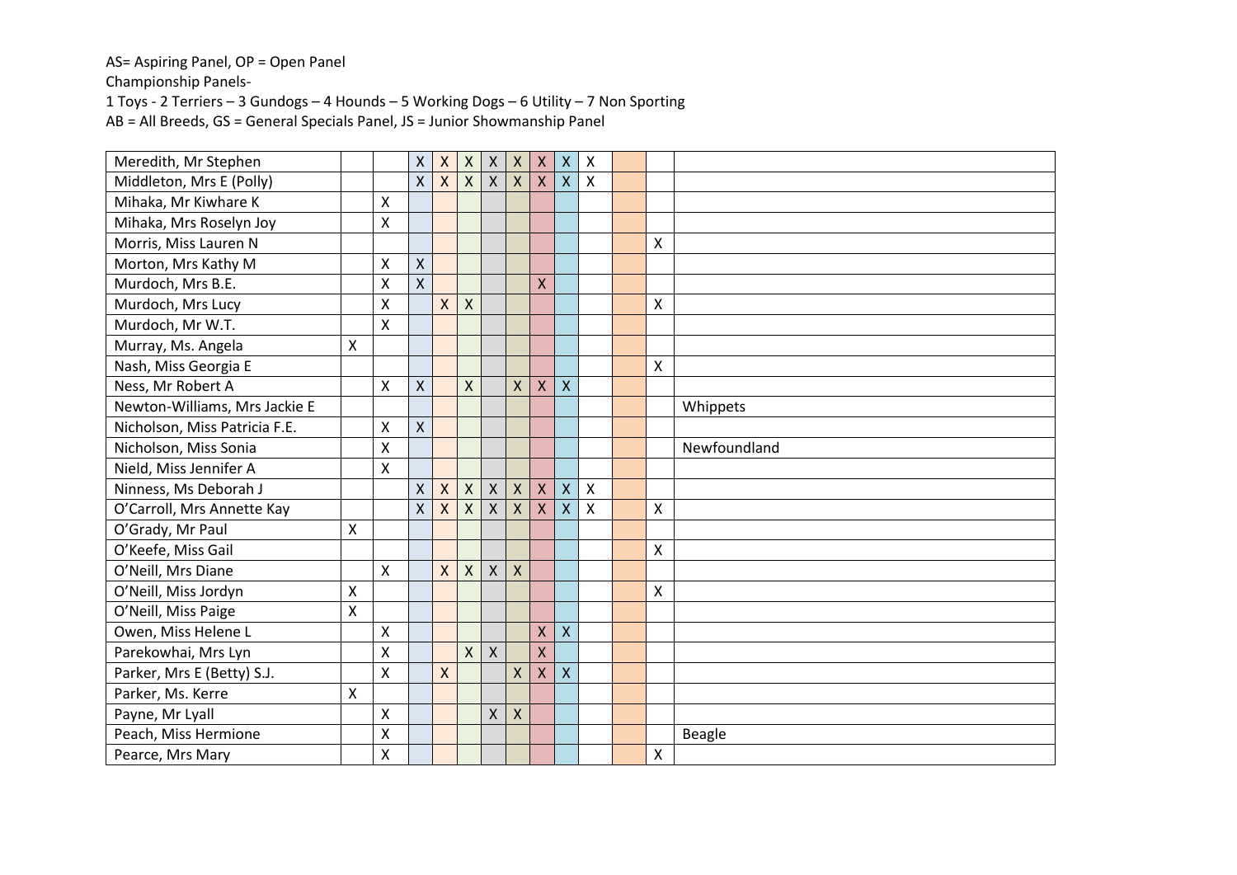Championship Panels-

1 Toys - 2 Terriers – 3 Gundogs – 4 Hounds – 5 Working Dogs – 6 Utility – 7 Non Sporting AB = All Breeds, GS = General Specials Panel, JS = Junior Showmanship Panel

| Meredith, Mr Stephen          |                    |                           | $\mathsf{X}$   | $\mathsf{X}$    | $\boldsymbol{X}$ | $\boldsymbol{X}$          | $\boldsymbol{\mathsf{X}}$ | $\pmb{\mathsf{X}}$      | $\pmb{\mathsf{X}}$ | Χ |   |               |
|-------------------------------|--------------------|---------------------------|----------------|-----------------|------------------|---------------------------|---------------------------|-------------------------|--------------------|---|---|---------------|
| Middleton, Mrs E (Polly)      |                    |                           | $\overline{X}$ | $\mathsf{x}$    | $\mathsf{X}$     | $\mathsf{X}$              | $\mathsf{\chi}$           | $\overline{\mathsf{X}}$ | $\mathsf{\chi}$    | X |   |               |
| Mihaka, Mr Kiwhare K          |                    | X                         |                |                 |                  |                           |                           |                         |                    |   |   |               |
| Mihaka, Mrs Roselyn Joy       |                    | $\mathsf{\chi}$           |                |                 |                  |                           |                           |                         |                    |   |   |               |
| Morris, Miss Lauren N         |                    |                           |                |                 |                  |                           |                           |                         |                    |   | X |               |
| Morton, Mrs Kathy M           |                    | $\pmb{\mathsf{X}}$        | $\mathsf X$    |                 |                  |                           |                           |                         |                    |   |   |               |
| Murdoch, Mrs B.E.             |                    | X                         | $\mathsf{X}$   |                 |                  |                           |                           | X                       |                    |   |   |               |
| Murdoch, Mrs Lucy             |                    | $\mathsf{X}$              |                | $\mathsf{X}$    | $\mathsf{X}$     |                           |                           |                         |                    |   | Χ |               |
| Murdoch, Mr W.T.              |                    | $\boldsymbol{\mathsf{X}}$ |                |                 |                  |                           |                           |                         |                    |   |   |               |
| Murray, Ms. Angela            | Χ                  |                           |                |                 |                  |                           |                           |                         |                    |   |   |               |
| Nash, Miss Georgia E          |                    |                           |                |                 |                  |                           |                           |                         |                    |   | Χ |               |
| Ness, Mr Robert A             |                    | $\boldsymbol{\mathsf{X}}$ | $\pmb{\chi}$   |                 | X                |                           | X                         | X                       | $\pmb{\mathsf{X}}$ |   |   |               |
| Newton-Williams, Mrs Jackie E |                    |                           |                |                 |                  |                           |                           |                         |                    |   |   | Whippets      |
| Nicholson, Miss Patricia F.E. |                    | $\mathsf{X}$              | $\pmb{\times}$ |                 |                  |                           |                           |                         |                    |   |   |               |
| Nicholson, Miss Sonia         |                    | $\boldsymbol{\mathsf{X}}$ |                |                 |                  |                           |                           |                         |                    |   |   | Newfoundland  |
| Nield, Miss Jennifer A        |                    | $\mathsf{\chi}$           |                |                 |                  |                           |                           |                         |                    |   |   |               |
| Ninness, Ms Deborah J         |                    |                           | $\mathsf{X}$   | $\mathsf{X}$    | $\pmb{\chi}$     | $\boldsymbol{\mathsf{X}}$ | $\pmb{\mathsf{X}}$        | $\pmb{\mathsf{X}}$      | $\pmb{\mathsf{X}}$ | Χ |   |               |
| O'Carroll, Mrs Annette Kay    |                    |                           | $\mathsf{X}$   | $\mathsf{X}$    | $\mathsf{X}$     | $\mathsf{x}$              | $\mathsf{X}$              | $\mathsf{X}$            | $\mathsf{X}$       | X | X |               |
| O'Grady, Mr Paul              | X                  |                           |                |                 |                  |                           |                           |                         |                    |   |   |               |
| O'Keefe, Miss Gail            |                    |                           |                |                 |                  |                           |                           |                         |                    |   | X |               |
| O'Neill, Mrs Diane            |                    | $\boldsymbol{\mathsf{X}}$ |                | $\mathsf{\chi}$ | X                | $\pmb{\mathsf{X}}$        | $\mathsf{\chi}$           |                         |                    |   |   |               |
| O'Neill, Miss Jordyn          | X                  |                           |                |                 |                  |                           |                           |                         |                    |   | X |               |
| O'Neill, Miss Paige           | $\pmb{\mathsf{X}}$ |                           |                |                 |                  |                           |                           |                         |                    |   |   |               |
| Owen, Miss Helene L           |                    | X                         |                |                 |                  |                           |                           | $\mathsf{\chi}$         | $\pmb{\mathsf{X}}$ |   |   |               |
| Parekowhai, Mrs Lyn           |                    | $\mathsf{\chi}$           |                |                 | X                | $\pmb{\mathsf{X}}$        |                           | $\overline{\mathsf{x}}$ |                    |   |   |               |
| Parker, Mrs E (Betty) S.J.    |                    | $\boldsymbol{\mathsf{X}}$ |                | $\mathsf{X}$    |                  |                           | X                         | Χ                       | $\mathsf{X}$       |   |   |               |
| Parker, Ms. Kerre             | X                  |                           |                |                 |                  |                           |                           |                         |                    |   |   |               |
| Payne, Mr Lyall               |                    | X                         |                |                 |                  | $\pmb{\mathsf{X}}$        | $\boldsymbol{X}$          |                         |                    |   |   |               |
| Peach, Miss Hermione          |                    | $\mathsf{\chi}$           |                |                 |                  |                           |                           |                         |                    |   |   | <b>Beagle</b> |
| Pearce, Mrs Mary              |                    | Χ                         |                |                 |                  |                           |                           |                         |                    |   | Χ |               |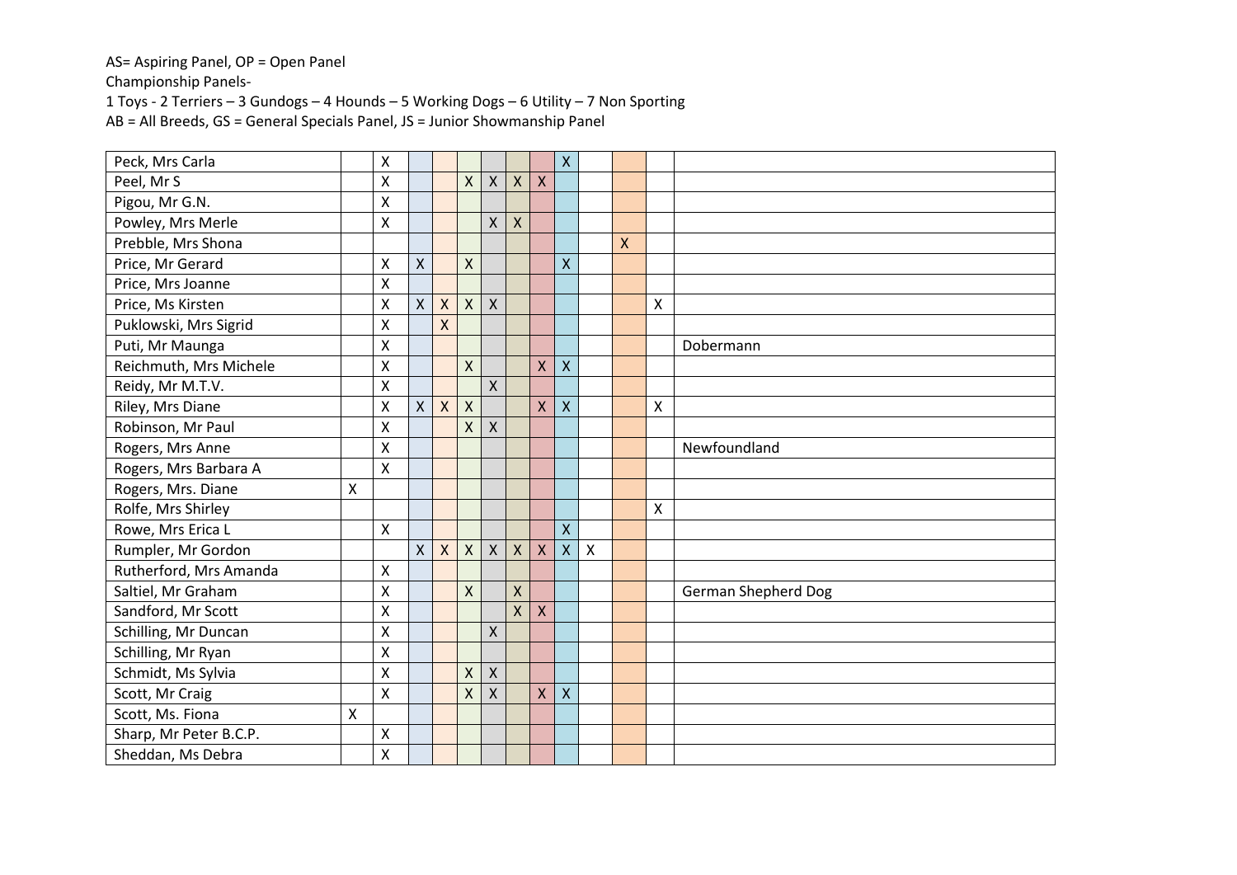Championship Panels-

1 Toys - 2 Terriers – 3 Gundogs – 4 Hounds – 5 Working Dogs – 6 Utility – 7 Non Sporting

| Peck, Mrs Carla        |   | X                  |                |                         |                    |                    |                           |                    | $\pmb{\mathsf{X}}$      |                    |   |   |                     |
|------------------------|---|--------------------|----------------|-------------------------|--------------------|--------------------|---------------------------|--------------------|-------------------------|--------------------|---|---|---------------------|
| Peel, Mr S             |   | X                  |                |                         | $\pmb{\mathsf{X}}$ | $\pmb{\mathsf{X}}$ | $\boldsymbol{\mathsf{X}}$ | $\pmb{\mathsf{X}}$ |                         |                    |   |   |                     |
| Pigou, Mr G.N.         |   | X                  |                |                         |                    |                    |                           |                    |                         |                    |   |   |                     |
| Powley, Mrs Merle      |   | X                  |                |                         |                    | X                  | $\boldsymbol{\mathsf{X}}$ |                    |                         |                    |   |   |                     |
| Prebble, Mrs Shona     |   |                    |                |                         |                    |                    |                           |                    |                         |                    | X |   |                     |
| Price, Mr Gerard       |   | X                  | X              |                         | $\mathsf{X}$       |                    |                           |                    | X                       |                    |   |   |                     |
| Price, Mrs Joanne      |   | X                  |                |                         |                    |                    |                           |                    |                         |                    |   |   |                     |
| Price, Ms Kirsten      |   | $\pmb{\mathsf{X}}$ | X              | $\mathsf{X}$            | $\pmb{\mathsf{X}}$ | $\mathsf{X}$       |                           |                    |                         |                    |   | X |                     |
| Puklowski, Mrs Sigrid  |   | X                  |                | $\overline{\mathsf{X}}$ |                    |                    |                           |                    |                         |                    |   |   |                     |
| Puti, Mr Maunga        |   | X                  |                |                         |                    |                    |                           |                    |                         |                    |   |   | Dobermann           |
| Reichmuth, Mrs Michele |   | X                  |                |                         | $\pmb{\mathsf{X}}$ |                    |                           | $\mathsf{X}$       | $\mathsf{X}$            |                    |   |   |                     |
| Reidy, Mr M.T.V.       |   | X                  |                |                         |                    | $\pmb{\mathsf{X}}$ |                           |                    |                         |                    |   |   |                     |
| Riley, Mrs Diane       |   | X                  | $\mathsf{X}^-$ | $\mathsf{X}$            | $\mathsf{X}$       |                    |                           | $\mathsf{X}$       | $\mathsf{\overline{X}}$ |                    |   | X |                     |
| Robinson, Mr Paul      |   | X                  |                |                         | $\pmb{\mathsf{X}}$ | $\pmb{\mathsf{X}}$ |                           |                    |                         |                    |   |   |                     |
| Rogers, Mrs Anne       |   | X                  |                |                         |                    |                    |                           |                    |                         |                    |   |   | Newfoundland        |
| Rogers, Mrs Barbara A  |   | X                  |                |                         |                    |                    |                           |                    |                         |                    |   |   |                     |
| Rogers, Mrs. Diane     | X |                    |                |                         |                    |                    |                           |                    |                         |                    |   |   |                     |
| Rolfe, Mrs Shirley     |   |                    |                |                         |                    |                    |                           |                    |                         |                    |   | X |                     |
| Rowe, Mrs Erica L      |   | Χ                  |                |                         |                    |                    |                           |                    | $\mathsf{\mathsf{X}}$   |                    |   |   |                     |
| Rumpler, Mr Gordon     |   |                    | $\mathsf{X}^-$ | $\mathsf{X}$            | $\pmb{\mathsf{X}}$ | $\pmb{\mathsf{X}}$ | $\pmb{\mathsf{X}}$        | $\pmb{\mathsf{X}}$ | $\pmb{\mathsf{X}}$      | $\pmb{\mathsf{X}}$ |   |   |                     |
| Rutherford, Mrs Amanda |   | X                  |                |                         |                    |                    |                           |                    |                         |                    |   |   |                     |
| Saltiel, Mr Graham     |   | X                  |                |                         | $\pmb{\mathsf{X}}$ |                    | $\mathsf{X}$              |                    |                         |                    |   |   | German Shepherd Dog |
| Sandford, Mr Scott     |   | $\pmb{\mathsf{X}}$ |                |                         |                    |                    | $\pmb{\mathsf{X}}$        | $\pmb{\mathsf{X}}$ |                         |                    |   |   |                     |
| Schilling, Mr Duncan   |   | X                  |                |                         |                    | X                  |                           |                    |                         |                    |   |   |                     |
| Schilling, Mr Ryan     |   | X                  |                |                         |                    |                    |                           |                    |                         |                    |   |   |                     |
| Schmidt, Ms Sylvia     |   | Χ                  |                |                         | $\sf X$            | $\pmb{\mathsf{X}}$ |                           |                    |                         |                    |   |   |                     |
| Scott, Mr Craig        |   | X                  |                |                         | $\mathsf{X}$       | $\pmb{\mathsf{X}}$ |                           | $\mathsf{X}$       | $\pmb{\mathsf{X}}$      |                    |   |   |                     |
| Scott, Ms. Fiona       | X |                    |                |                         |                    |                    |                           |                    |                         |                    |   |   |                     |
| Sharp, Mr Peter B.C.P. |   | Χ                  |                |                         |                    |                    |                           |                    |                         |                    |   |   |                     |
| Sheddan, Ms Debra      |   | X                  |                |                         |                    |                    |                           |                    |                         |                    |   |   |                     |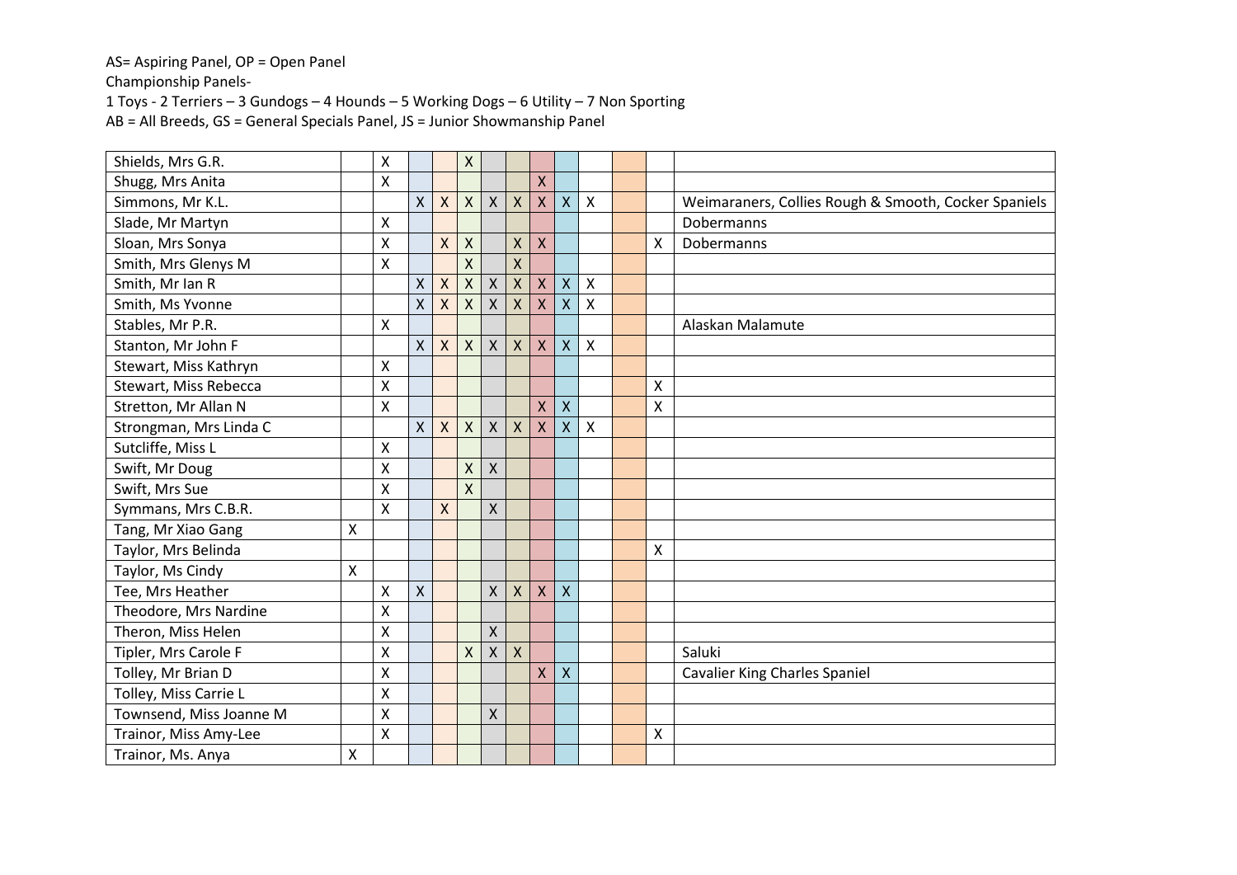Championship Panels-

1 Toys - 2 Terriers – 3 Gundogs – 4 Hounds – 5 Working Dogs – 6 Utility – 7 Non Sporting

| Shields, Mrs G.R.       |   | X |                    |              | $\pmb{\mathsf{X}}$      |                         |                           |                    |                         |                           |                 |                                                      |
|-------------------------|---|---|--------------------|--------------|-------------------------|-------------------------|---------------------------|--------------------|-------------------------|---------------------------|-----------------|------------------------------------------------------|
| Shugg, Mrs Anita        |   | X |                    |              |                         |                         |                           | $\mathsf{X}$       |                         |                           |                 |                                                      |
| Simmons, Mr K.L.        |   |   | X                  | $\mathsf{X}$ | $\mathsf X$             | $\pmb{\mathsf{X}}$      | $\mathsf{X}$              | $\pmb{\mathsf{X}}$ | $\pmb{\mathsf{X}}$      | $\boldsymbol{\mathsf{X}}$ |                 | Weimaraners, Collies Rough & Smooth, Cocker Spaniels |
| Slade, Mr Martyn        |   | X |                    |              |                         |                         |                           |                    |                         |                           |                 | Dobermanns                                           |
| Sloan, Mrs Sonya        |   | X |                    | $\mathsf{X}$ | $\pmb{\mathsf{X}}$      |                         | $\pmb{\chi}$              | $\mathsf{X}$       |                         |                           | X               | Dobermanns                                           |
| Smith, Mrs Glenys M     |   | X |                    |              | $\overline{\mathsf{X}}$ |                         | $\overline{\mathsf{X}}$   |                    |                         |                           |                 |                                                      |
| Smith, Mr Ian R         |   |   | $\mathsf{X}^-$     | X            | X                       | $\mathsf{X}$            | $\boldsymbol{\mathsf{X}}$ | X                  | $\pmb{\mathsf{X}}$      | $\boldsymbol{\mathsf{X}}$ |                 |                                                      |
| Smith, Ms Yvonne        |   |   | $\mathsf{X}^-$     | $\mathsf{X}$ | $\pmb{\mathsf{X}}$      | $\overline{\mathsf{X}}$ | $\mathsf{X}$              | $\mathsf{X}$       | $\mathsf{\mathsf{X}}$   | $\mathsf{\chi}$           |                 |                                                      |
| Stables, Mr P.R.        |   | X |                    |              |                         |                         |                           |                    |                         |                           |                 | Alaskan Malamute                                     |
| Stanton, Mr John F      |   |   | $\times$           | X            | $\mathsf{X}$            | $\mathsf{X}$            | $\boldsymbol{\mathsf{X}}$ | $\mathsf{X}$       | $\mathsf{X}$            | $\boldsymbol{\mathsf{X}}$ |                 |                                                      |
| Stewart, Miss Kathryn   |   | Χ |                    |              |                         |                         |                           |                    |                         |                           |                 |                                                      |
| Stewart, Miss Rebecca   |   | X |                    |              |                         |                         |                           |                    |                         |                           | X               |                                                      |
| Stretton, Mr Allan N    |   | X |                    |              |                         |                         |                           | $\mathsf{X}$       | $\mathsf{\overline{X}}$ |                           | $\mathsf{\chi}$ |                                                      |
| Strongman, Mrs Linda C  |   |   | X                  | $\mathsf{X}$ | $\pmb{\mathsf{X}}$      | $\pmb{\mathsf{X}}$      | $\pmb{\chi}$              | $\mathsf{X}$       | $\pmb{\mathsf{X}}$      | $\boldsymbol{\mathsf{X}}$ |                 |                                                      |
| Sutcliffe, Miss L       |   | Χ |                    |              |                         |                         |                           |                    |                         |                           |                 |                                                      |
| Swift, Mr Doug          |   | X |                    |              | $\mathsf{X}$            | $\mathsf{X}$            |                           |                    |                         |                           |                 |                                                      |
| Swift, Mrs Sue          |   | X |                    |              | $\mathsf{X}$            |                         |                           |                    |                         |                           |                 |                                                      |
| Symmans, Mrs C.B.R.     |   | X |                    | $\mathsf{X}$ |                         | $\pmb{\mathsf{X}}$      |                           |                    |                         |                           |                 |                                                      |
| Tang, Mr Xiao Gang      | Χ |   |                    |              |                         |                         |                           |                    |                         |                           |                 |                                                      |
| Taylor, Mrs Belinda     |   |   |                    |              |                         |                         |                           |                    |                         |                           | X               |                                                      |
| Taylor, Ms Cindy        | Χ |   |                    |              |                         |                         |                           |                    |                         |                           |                 |                                                      |
| Tee, Mrs Heather        |   | Χ | $\pmb{\mathsf{X}}$ |              |                         | X                       | $\pmb{\mathsf{X}}$        | $\pmb{\mathsf{X}}$ | $\mathsf{X}$            |                           |                 |                                                      |
| Theodore, Mrs Nardine   |   | X |                    |              |                         |                         |                           |                    |                         |                           |                 |                                                      |
| Theron, Miss Helen      |   | X |                    |              |                         | X                       |                           |                    |                         |                           |                 |                                                      |
| Tipler, Mrs Carole F    |   | X |                    |              | $\pmb{\mathsf{X}}$      | $\pmb{\mathsf{X}}$      | $\mathsf{X}$              |                    |                         |                           |                 | Saluki                                               |
| Tolley, Mr Brian D      |   | Χ |                    |              |                         |                         |                           | X                  | $\mathsf{X}$            |                           |                 | <b>Cavalier King Charles Spaniel</b>                 |
| Tolley, Miss Carrie L   |   | X |                    |              |                         |                         |                           |                    |                         |                           |                 |                                                      |
| Townsend, Miss Joanne M |   | X |                    |              |                         | X                       |                           |                    |                         |                           |                 |                                                      |
| Trainor, Miss Amy-Lee   |   | X |                    |              |                         |                         |                           |                    |                         |                           | X               |                                                      |
| Trainor, Ms. Anya       | Χ |   |                    |              |                         |                         |                           |                    |                         |                           |                 |                                                      |